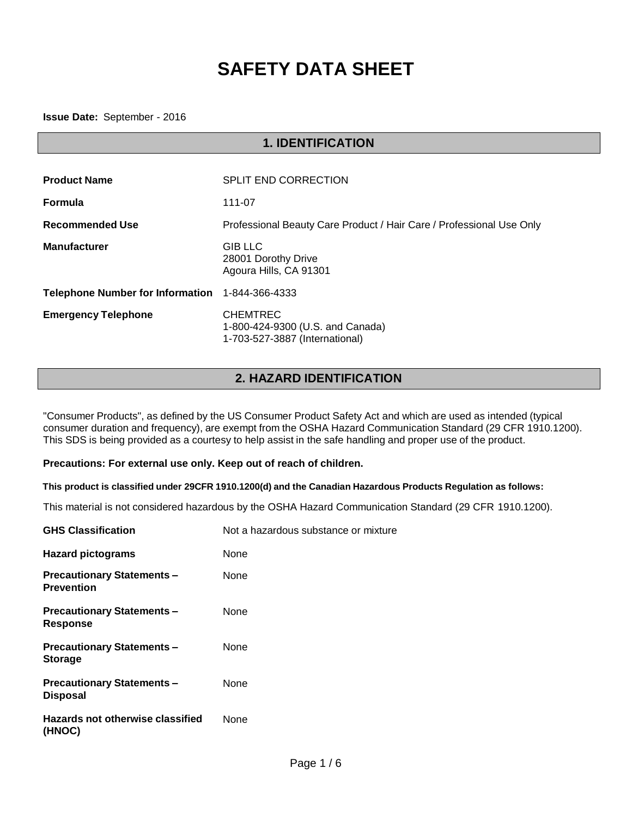# **SAFETY DATA SHEET**

**Issue Date:** September - 2016

| <b>1. IDENTIFICATION</b>                |                                                                                       |  |
|-----------------------------------------|---------------------------------------------------------------------------------------|--|
|                                         |                                                                                       |  |
| <b>Product Name</b>                     | <b>SPLIT END CORRECTION</b>                                                           |  |
| <b>Formula</b>                          | 111-07                                                                                |  |
| <b>Recommended Use</b>                  | Professional Beauty Care Product / Hair Care / Professional Use Only                  |  |
| <b>Manufacturer</b>                     | <b>GIB LLC</b><br>28001 Dorothy Drive<br>Agoura Hills, CA 91301                       |  |
| <b>Telephone Number for Information</b> | 1-844-366-4333                                                                        |  |
| <b>Emergency Telephone</b>              | <b>CHEMTREC</b><br>1-800-424-9300 (U.S. and Canada)<br>1-703-527-3887 (International) |  |

## **2. HAZARD IDENTIFICATION**

"Consumer Products", as defined by the US Consumer Product Safety Act and which are used as intended (typical consumer duration and frequency), are exempt from the OSHA Hazard Communication Standard (29 CFR 1910.1200). This SDS is being provided as a courtesy to help assist in the safe handling and proper use of the product.

#### **Precautions: For external use only. Keep out of reach of children.**

**This product is classified under 29CFR 1910.1200(d) and the Canadian Hazardous Products Regulation as follows:**

This material is not considered hazardous by the OSHA Hazard Communication Standard (29 CFR 1910.1200).

| <b>GHS Classification</b>                             | Not a hazardous substance or mixture |
|-------------------------------------------------------|--------------------------------------|
| <b>Hazard pictograms</b>                              | None                                 |
| <b>Precautionary Statements-</b><br><b>Prevention</b> | None                                 |
| <b>Precautionary Statements -</b><br><b>Response</b>  | None                                 |
| <b>Precautionary Statements-</b><br><b>Storage</b>    | None                                 |
| <b>Precautionary Statements-</b><br><b>Disposal</b>   | None                                 |
| <b>Hazards not otherwise classified</b><br>(HNOC)     | None                                 |
|                                                       |                                      |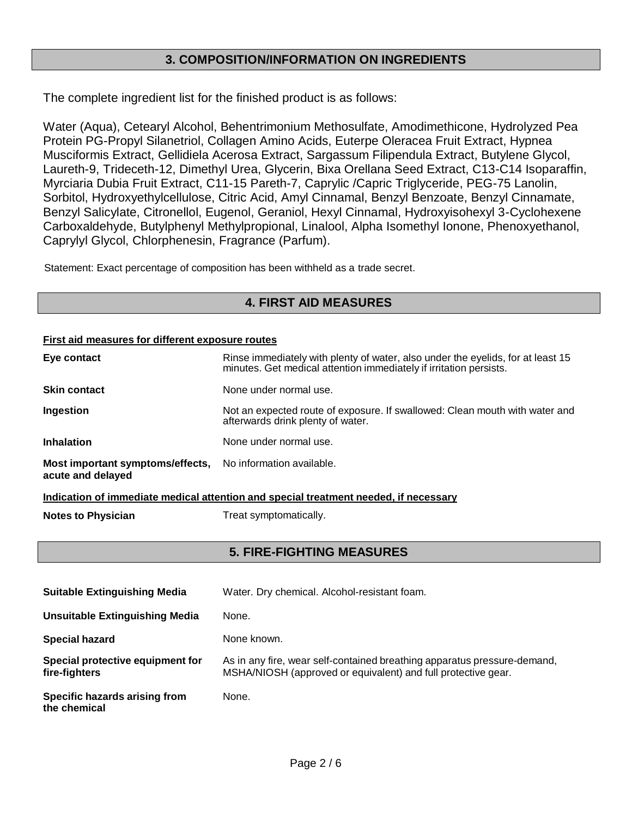## **3. COMPOSITION/INFORMATION ON INGREDIENTS**

The complete ingredient list for the finished product is as follows:

Water (Aqua), Cetearyl Alcohol, Behentrimonium Methosulfate, Amodimethicone, Hydrolyzed Pea Protein PG-Propyl Silanetriol, Collagen Amino Acids, Euterpe Oleracea Fruit Extract, Hypnea Musciformis Extract, Gellidiela Acerosa Extract, Sargassum Filipendula Extract, Butylene Glycol, Laureth-9, Trideceth-12, Dimethyl Urea, Glycerin, Bixa Orellana Seed Extract, C13-C14 Isoparaffin, Myrciaria Dubia Fruit Extract, C11-15 Pareth-7, Caprylic /Capric Triglyceride, PEG-75 Lanolin, Sorbitol, Hydroxyethylcellulose, Citric Acid, Amyl Cinnamal, Benzyl Benzoate, Benzyl Cinnamate, Benzyl Salicylate, Citronellol, Eugenol, Geraniol, Hexyl Cinnamal, Hydroxyisohexyl 3-Cyclohexene Carboxaldehyde, Butylphenyl Methylpropional, Linalool, Alpha Isomethyl Ionone, Phenoxyethanol, Caprylyl Glycol, Chlorphenesin, Fragrance (Parfum).

Statement: Exact percentage of composition has been withheld as a trade secret.

## **4. FIRST AID MEASURES**

#### **First aid measures for different exposure routes**

| Eye contact                                                                     | Rinse immediately with plenty of water, also under the eyelids, for at least 15<br>minutes. Get medical attention immediately if irritation persists. |
|---------------------------------------------------------------------------------|-------------------------------------------------------------------------------------------------------------------------------------------------------|
| <b>Skin contact</b>                                                             | None under normal use.                                                                                                                                |
| Ingestion                                                                       | Not an expected route of exposure. If swallowed: Clean mouth with water and<br>afterwards drink plenty of water.                                      |
| <b>Inhalation</b>                                                               | None under normal use.                                                                                                                                |
| Most important symptoms/effects, No information available.<br>acute and delayed |                                                                                                                                                       |

**Indication of immediate medical attention and special treatment needed, if necessary**

**Notes to Physician** Treat symptomatically.

## **5. FIRE-FIGHTING MEASURES**

| <b>Suitable Extinguishing Media</b>               | Water. Dry chemical. Alcohol-resistant foam.                                                                                              |
|---------------------------------------------------|-------------------------------------------------------------------------------------------------------------------------------------------|
| <b>Unsuitable Extinguishing Media</b>             | None.                                                                                                                                     |
| <b>Special hazard</b>                             | None known.                                                                                                                               |
| Special protective equipment for<br>fire-fighters | As in any fire, wear self-contained breathing apparatus pressure-demand,<br>MSHA/NIOSH (approved or equivalent) and full protective gear. |
| Specific hazards arising from<br>the chemical     | None.                                                                                                                                     |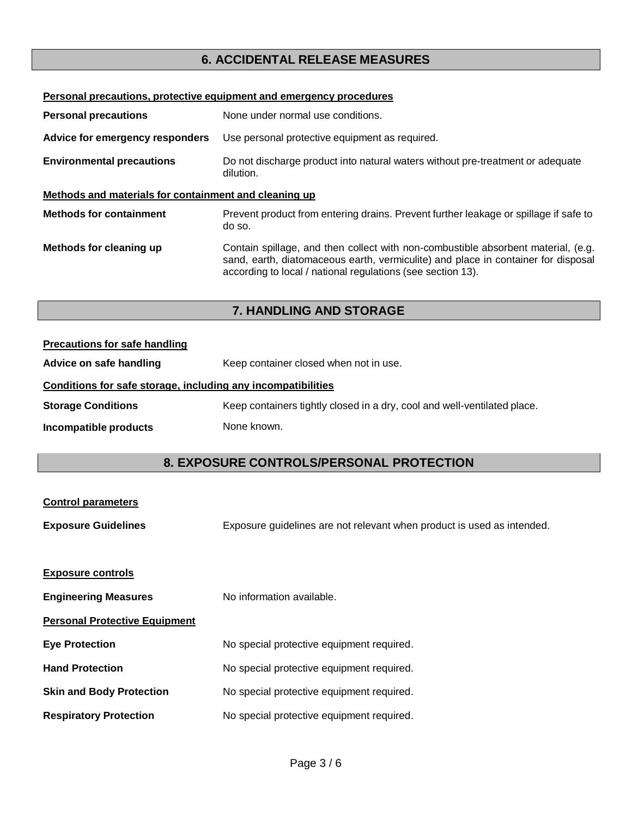## **6. ACCIDENTAL RELEASE MEASURES**

| Personal precautions, protective equipment and emergency procedures |                                                                                                                                                                                                                                       |  |
|---------------------------------------------------------------------|---------------------------------------------------------------------------------------------------------------------------------------------------------------------------------------------------------------------------------------|--|
| <b>Personal precautions</b>                                         | None under normal use conditions.                                                                                                                                                                                                     |  |
| Advice for emergency responders                                     | Use personal protective equipment as required.                                                                                                                                                                                        |  |
| <b>Environmental precautions</b>                                    | Do not discharge product into natural waters without pre-treatment or adequate<br>dilution.                                                                                                                                           |  |
| Methods and materials for containment and cleaning up               |                                                                                                                                                                                                                                       |  |
| <b>Methods for containment</b>                                      | Prevent product from entering drains. Prevent further leakage or spillage if safe to<br>do so.                                                                                                                                        |  |
| Methods for cleaning up                                             | Contain spillage, and then collect with non-combustible absorbent material, (e.g.<br>sand, earth, diatomaceous earth, vermiculite) and place in container for disposal<br>according to local / national regulations (see section 13). |  |

## **7. HANDLING AND STORAGE**

| <b>Precautions for safe handling</b>                         |                                                                          |  |
|--------------------------------------------------------------|--------------------------------------------------------------------------|--|
| Advice on safe handling                                      | Keep container closed when not in use.                                   |  |
| Conditions for safe storage, including any incompatibilities |                                                                          |  |
| <b>Storage Conditions</b>                                    | Keep containers tightly closed in a dry, cool and well-ventilated place. |  |
| Incompatible products                                        | None known.                                                              |  |

## **8. EXPOSURE CONTROLS/PERSONAL PROTECTION**

| <b>Control parameters</b>            |                                                                        |
|--------------------------------------|------------------------------------------------------------------------|
| <b>Exposure Guidelines</b>           | Exposure guidelines are not relevant when product is used as intended. |
|                                      |                                                                        |
| <b>Exposure controls</b>             |                                                                        |
| <b>Engineering Measures</b>          | No information available.                                              |
| <b>Personal Protective Equipment</b> |                                                                        |
| <b>Eye Protection</b>                | No special protective equipment required.                              |
| <b>Hand Protection</b>               | No special protective equipment required.                              |
| <b>Skin and Body Protection</b>      | No special protective equipment required.                              |
| <b>Respiratory Protection</b>        | No special protective equipment required.                              |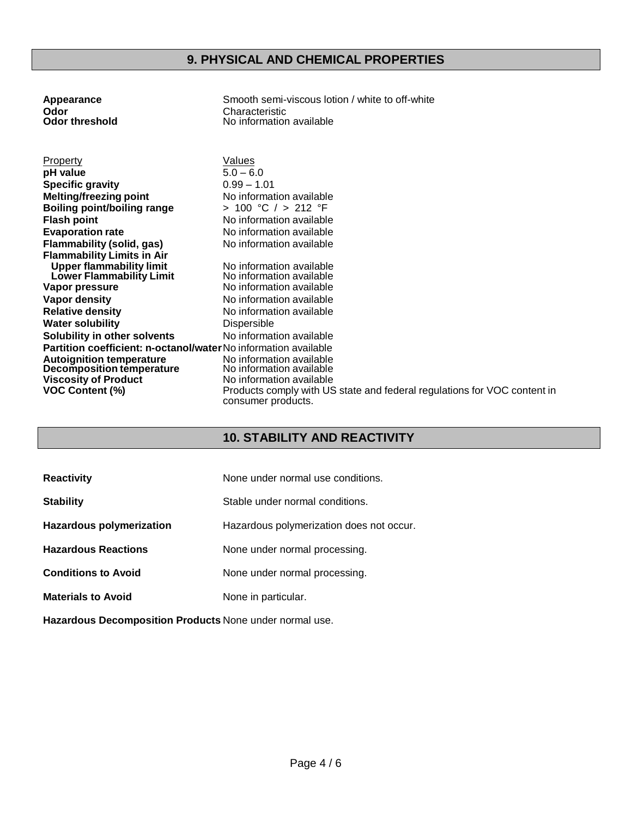| Appearance                                                      | Smooth semi-viscous lotion / white to off-white                          |
|-----------------------------------------------------------------|--------------------------------------------------------------------------|
| Odor                                                            | Characteristic                                                           |
| <b>Odor threshold</b>                                           | No information available                                                 |
|                                                                 |                                                                          |
|                                                                 |                                                                          |
| Property                                                        | <b>Values</b>                                                            |
| pH value                                                        | $5.0 - 6.0$                                                              |
| <b>Specific gravity</b>                                         | $0.99 - 1.01$                                                            |
| <b>Melting/freezing point</b>                                   | No information available                                                 |
| <b>Boiling point/boiling range</b>                              | > 100 °C / > 212 °F                                                      |
| <b>Flash point</b>                                              | No information available                                                 |
| <b>Evaporation rate</b>                                         | No information available                                                 |
| Flammability (solid, gas)                                       | No information available                                                 |
| <b>Flammability Limits in Air</b>                               |                                                                          |
| <b>Upper flammability limit</b>                                 | No information available                                                 |
| <b>Lower Flammability Limit</b>                                 | No information available                                                 |
| Vapor pressure                                                  | No information available                                                 |
| <b>Vapor density</b>                                            | No information available                                                 |
| <b>Relative density</b>                                         | No information available                                                 |
| <b>Water solubility</b>                                         | Dispersible                                                              |
| Solubility in other solvents                                    | No information available                                                 |
| Partition coefficient: n-octanol/water No information available |                                                                          |
| <b>Autoignition temperature</b>                                 | No information available                                                 |
| Decomposition temperature                                       | No information available                                                 |
| <b>Viscosity of Product</b>                                     | No information available                                                 |
| <b>VOC Content (%)</b>                                          | Products comply with US state and federal regulations for VOC content in |
|                                                                 | consumer products.                                                       |

## **10. STABILITY AND REACTIVITY**

| <b>Reactivity</b>          | None under normal use conditions.        |
|----------------------------|------------------------------------------|
| <b>Stability</b>           | Stable under normal conditions.          |
| Hazardous polymerization   | Hazardous polymerization does not occur. |
| <b>Hazardous Reactions</b> | None under normal processing.            |
| <b>Conditions to Avoid</b> | None under normal processing.            |
| <b>Materials to Avoid</b>  | None in particular.                      |
|                            |                                          |

**Hazardous Decomposition Products** None under normal use.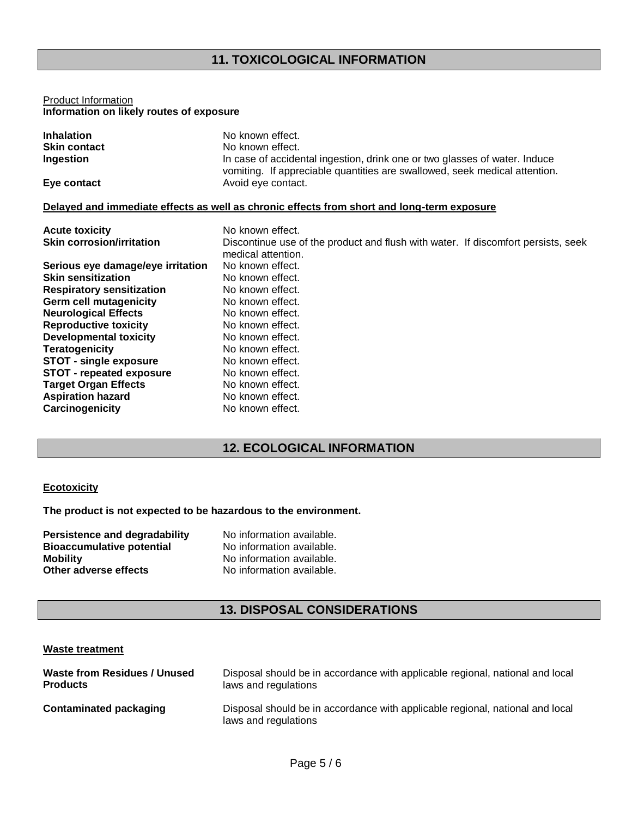## **11. TOXICOLOGICAL INFORMATION**

#### Product Information **Information on likely routes of exposure**

| No known effect.                                                                           |
|--------------------------------------------------------------------------------------------|
| No known effect.                                                                           |
| In case of accidental ingestion, drink one or two glasses of water. Induce                 |
| vomiting. If appreciable quantities are swallowed, seek medical attention.                 |
| Avoid eye contact.                                                                         |
|                                                                                            |
| Delayed and immediate effects as well as chronic effects from short and long-term exposure |
| No known effect.                                                                           |
| Discontinue use of the product and flush with water. If discomfort persists, seek          |
| medical attention.                                                                         |
| No known effect.                                                                           |
| No known effect.                                                                           |
| No known effect.                                                                           |
| No known effect.                                                                           |
| No known effect.                                                                           |
| No known effect.                                                                           |
| No known effect.                                                                           |
| No known effect.                                                                           |
| No known effect.                                                                           |
| No known effect.                                                                           |
| No known effect.                                                                           |
| No known effect.                                                                           |
| No known effect.                                                                           |
|                                                                                            |

## **12. ECOLOGICAL INFORMATION**

#### **Ecotoxicity**

**The product is not expected to be hazardous to the environment.**

| Persistence and degradability    | No information available. |
|----------------------------------|---------------------------|
| <b>Bioaccumulative potential</b> | No information available. |
| <b>Mobility</b>                  | No information available. |
| Other adverse effects            | No information available. |

## **13. DISPOSAL CONSIDERATIONS**

#### **Waste treatment**

| Waste from Residues / Unused  | Disposal should be in accordance with applicable regional, national and local                         |
|-------------------------------|-------------------------------------------------------------------------------------------------------|
| <b>Products</b>               | laws and regulations                                                                                  |
| <b>Contaminated packaging</b> | Disposal should be in accordance with applicable regional, national and local<br>laws and regulations |